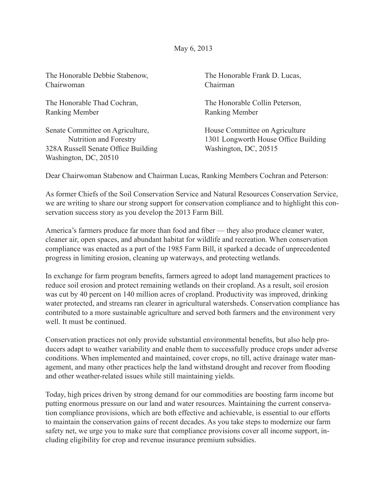May 6, 2013

| The Honorable Debbie Stabenow,                                                                                             | The Honorable Frank D. Lucas,                                                                   |
|----------------------------------------------------------------------------------------------------------------------------|-------------------------------------------------------------------------------------------------|
| Chairwoman                                                                                                                 | Chairman                                                                                        |
| The Honorable Thad Cochran,                                                                                                | The Honorable Collin Peterson,                                                                  |
| <b>Ranking Member</b>                                                                                                      | <b>Ranking Member</b>                                                                           |
| Senate Committee on Agriculture,<br>Nutrition and Forestry<br>328A Russell Senate Office Building<br>Washington, DC, 20510 | House Committee on Agriculture<br>1301 Longworth House Office Building<br>Washington, DC, 20515 |

Dear Chairwoman Stabenow and Chairman Lucas, Ranking Members Cochran and Peterson:

As former Chiefs of the Soil Conservation Service and Natural Resources Conservation Service, we are writing to share our strong support for conservation compliance and to highlight this conservation success story as you develop the 2013 Farm Bill.

America's farmers produce far more than food and fiber — they also produce cleaner water, cleaner air, open spaces, and abundant habitat for wildlife and recreation. When conservation compliance was enacted as a part of the 1985 Farm Bill, it sparked a decade of unprecedented progress in limiting erosion, cleaning up waterways, and protecting wetlands.

In exchange for farm program benefits, farmers agreed to adopt land management practices to reduce soil erosion and protect remaining wetlands on their cropland. As a result, soil erosion was cut by 40 percent on 140 million acres of cropland. Productivity was improved, drinking water protected, and streams ran clearer in agricultural watersheds. Conservation compliance has contributed to a more sustainable agriculture and served both farmers and the environment very well. It must be continued.

Conservation practices not only provide substantial environmental benefits, but also help producers adapt to weather variability and enable them to successfully produce crops under adverse conditions. When implemented and maintained, cover crops, no till, active drainage water management, and many other practices help the land withstand drought and recover from flooding and other weather-related issues while still maintaining yields.

Today, high prices driven by strong demand for our commodities are boosting farm income but putting enormous pressure on our land and water resources. Maintaining the current conservation compliance provisions, which are both effective and achievable, is essential to our efforts to maintain the conservation gains of recent decades. As you take steps to modernize our farm safety net, we urge you to make sure that compliance provisions cover all income support, including eligibility for crop and revenue insurance premium subsidies.